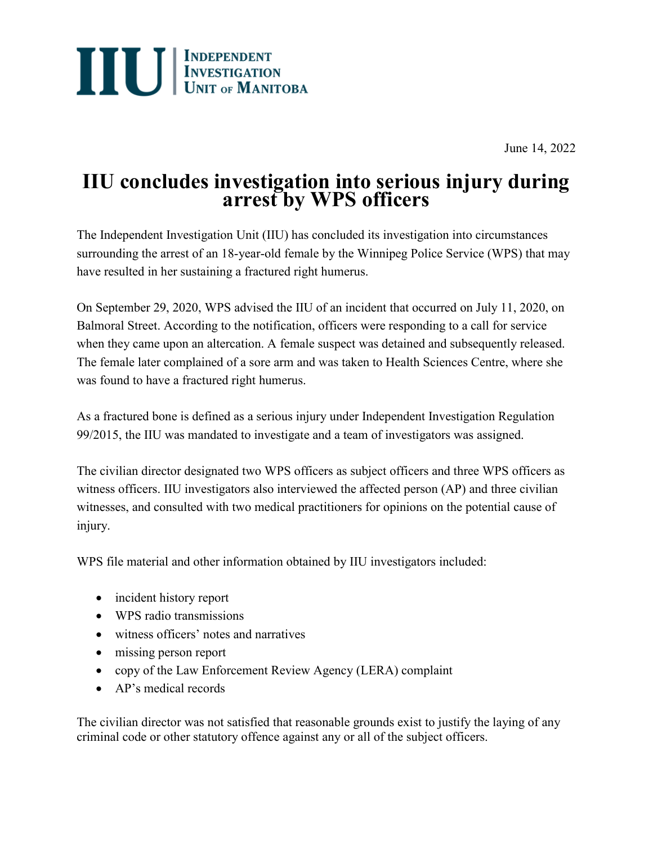

June 14, 2022

## **IIU concludes investigation into serious injury during arrest by WPS officers**

The Independent Investigation Unit (IIU) has concluded its investigation into circumstances surrounding the arrest of an 18-year-old female by the Winnipeg Police Service (WPS) that may have resulted in her sustaining a fractured right humerus.

On September 29, 2020, WPS advised the IIU of an incident that occurred on July 11, 2020, on Balmoral Street. According to the notification, officers were responding to a call for service when they came upon an altercation. A female suspect was detained and subsequently released. The female later complained of a sore arm and was taken to Health Sciences Centre, where she was found to have a fractured right humerus.

As a fractured bone is defined as a serious injury under Independent Investigation Regulation 99/2015, the IIU was mandated to investigate and a team of investigators was assigned.

The civilian director designated two WPS officers as subject officers and three WPS officers as witness officers. IIU investigators also interviewed the affected person (AP) and three civilian witnesses, and consulted with two medical practitioners for opinions on the potential cause of injury.

WPS file material and other information obtained by IIU investigators included:

- incident history report
- WPS radio transmissions
- witness officers' notes and narratives
- missing person report
- copy of the Law Enforcement Review Agency (LERA) complaint
- AP's medical records

The civilian director was not satisfied that reasonable grounds exist to justify the laying of any criminal code or other statutory offence against any or all of the subject officers.